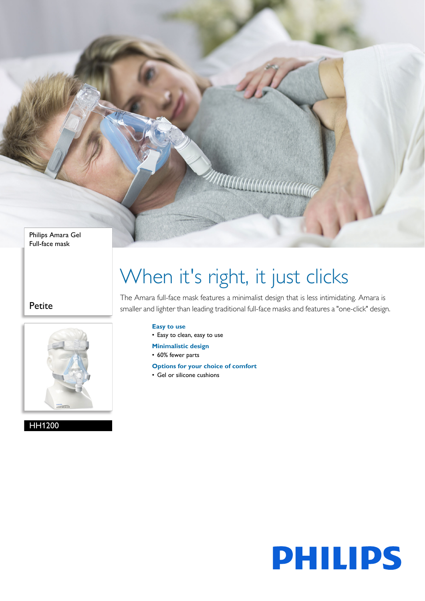Philips Amara Gel Full-face mask

Petite



HH1200

# When it's right, it just clicks

<u> Allitititititi</u>

The Amara full-face mask features a minimalist design that is less intimidating. Amara is smaller and lighter than leading traditional full-face masks and features a "one-click" design.

## **Easy to use**

• Easy to clean, easy to use

- **Minimalistic design**
- 60% fewer parts
- **Options for your choice of comfort**
- Gel or silicone cushions